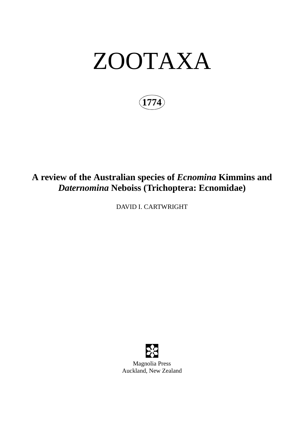# ZOOTAXA

**1774**

## **A review of the Australian species of** *Ecnomina* **Kimmins and** *Daternomina* **Neboiss (Trichoptera: Ecnomidae)**

DAVID I. CARTWRIGHT



Magnolia Press Auckland, New Zealand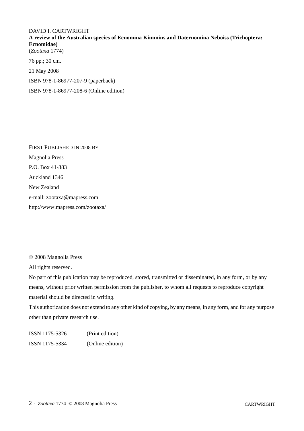## DAVID I. CARTWRIGHT

**A review of the Australian species of Ecnomina Kimmins and Daternomina Neboiss (Trichoptera: Ecnomidae)** (*Zootaxa* 1774)

76 pp.; 30 cm. 21 May 2008 ISBN 978-1-86977-207-9 (paperback) ISBN 978-1-86977-208-6 (Online edition)

FIRST PUBLISHED IN 2008 BY Magnolia Press P.O. Box 41-383 Auckland 1346 New Zealand e-mail: zootaxa@mapress.com http://www.mapress.com/zootaxa/

© 2008 Magnolia Press

All rights reserved.

No part of this publication may be reproduced, stored, transmitted or disseminated, in any form, or by any means, without prior written permission from the publisher, to whom all requests to reproduce copyright material should be directed in writing.

This authorization does not extend to any other kind of copying, by any means, in any form, and for any purpose other than private research use.

ISSN 1175-5326 (Print edition) ISSN 1175-5334 (Online edition)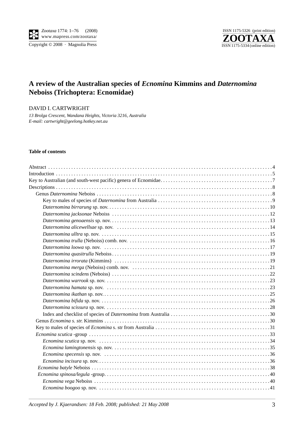

Copyright © 2008 · Magnolia Press



## **A review of the Australian species of** *Ecnomina* **Kimmins and** *Daternomina* **Neboiss (Trichoptera: Ecnomidae)**

DAVID I. CARTWRIGHT

*13 Brolga Crescent, Wandana Heights, Victoria 3216, Australia E-mail: cartwright@geelong.hotkey.net.au*

#### **Table of contents**